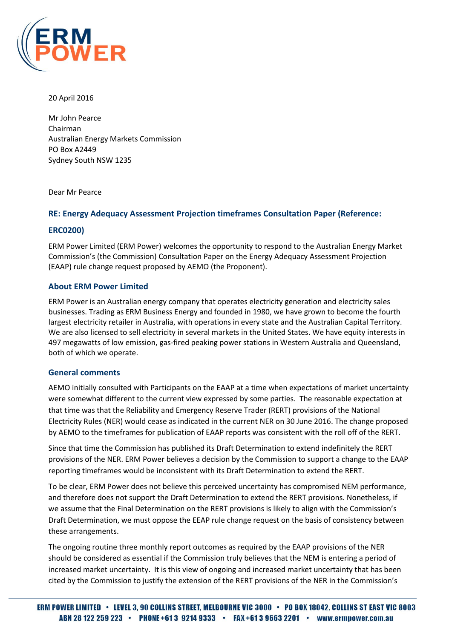

20 April 2016

Mr John Pearce Chairman Australian Energy Markets Commission PO Box A2449 Sydney South NSW 1235

Dear Mr Pearce

# **RE: Energy Adequacy Assessment Projection timeframes Consultation Paper (Reference:**

# **ERC0200)**

ERM Power Limited (ERM Power) welcomes the opportunity to respond to the Australian Energy Market Commission's (the Commission) Consultation Paper on the Energy Adequacy Assessment Projection (EAAP) rule change request proposed by AEMO (the Proponent).

# **About ERM Power Limited**

ERM Power is an Australian energy company that operates electricity generation and electricity sales businesses. Trading as ERM Business Energy and founded in 1980, we have grown to become the fourth largest electricity retailer in Australia, with operations in every state and the Australian Capital Territory. We are also licensed to sell electricity in several markets in the United States. We have equity interests in 497 megawatts of low emission, gas-fired peaking power stations in Western Australia and Queensland, both of which we operate.

### **General comments**

AEMO initially consulted with Participants on the EAAP at a time when expectations of market uncertainty were somewhat different to the current view expressed by some parties. The reasonable expectation at that time was that the Reliability and Emergency Reserve Trader (RERT) provisions of the National Electricity Rules (NER) would cease as indicated in the current NER on 30 June 2016. The change proposed by AEMO to the timeframes for publication of EAAP reports was consistent with the roll off of the RERT.

Since that time the Commission has published its Draft Determination to extend indefinitely the RERT provisions of the NER. ERM Power believes a decision by the Commission to support a change to the EAAP reporting timeframes would be inconsistent with its Draft Determination to extend the RERT.

To be clear, ERM Power does not believe this perceived uncertainty has compromised NEM performance, and therefore does not support the Draft Determination to extend the RERT provisions. Nonetheless, if we assume that the Final Determination on the RERT provisions is likely to align with the Commission's Draft Determination, we must oppose the EEAP rule change request on the basis of consistency between these arrangements.

The ongoing routine three monthly report outcomes as required by the EAAP provisions of the NER should be considered as essential if the Commission truly believes that the NEM is entering a period of increased market uncertainty. It is this view of ongoing and increased market uncertainty that has been cited by the Commission to justify the extension of the RERT provisions of the NER in the Commission's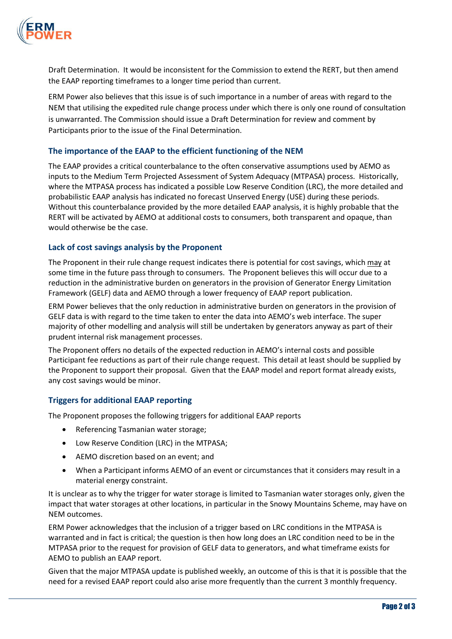

Draft Determination. It would be inconsistent for the Commission to extend the RERT, but then amend the EAAP reporting timeframes to a longer time period than current.

ERM Power also believes that this issue is of such importance in a number of areas with regard to the NEM that utilising the expedited rule change process under which there is only one round of consultation is unwarranted. The Commission should issue a Draft Determination for review and comment by Participants prior to the issue of the Final Determination.

# **The importance of the EAAP to the efficient functioning of the NEM**

The EAAP provides a critical counterbalance to the often conservative assumptions used by AEMO as inputs to the Medium Term Projected Assessment of System Adequacy (MTPASA) process. Historically, where the MTPASA process has indicated a possible Low Reserve Condition (LRC), the more detailed and probabilistic EAAP analysis has indicated no forecast Unserved Energy (USE) during these periods. Without this counterbalance provided by the more detailed EAAP analysis, it is highly probable that the RERT will be activated by AEMO at additional costs to consumers, both transparent and opaque, than would otherwise be the case.

# **Lack of cost savings analysis by the Proponent**

The Proponent in their rule change request indicates there is potential for cost savings, which may at some time in the future pass through to consumers. The Proponent believes this will occur due to a reduction in the administrative burden on generators in the provision of Generator Energy Limitation Framework (GELF) data and AEMO through a lower frequency of EAAP report publication.

ERM Power believes that the only reduction in administrative burden on generators in the provision of GELF data is with regard to the time taken to enter the data into AEMO's web interface. The super majority of other modelling and analysis will still be undertaken by generators anyway as part of their prudent internal risk management processes.

The Proponent offers no details of the expected reduction in AEMO's internal costs and possible Participant fee reductions as part of their rule change request. This detail at least should be supplied by the Proponent to support their proposal. Given that the EAAP model and report format already exists, any cost savings would be minor.

### **Triggers for additional EAAP reporting**

The Proponent proposes the following triggers for additional EAAP reports

- Referencing Tasmanian water storage;
- Low Reserve Condition (LRC) in the MTPASA;
- AEMO discretion based on an event; and
- When a Participant informs AEMO of an event or circumstances that it considers may result in a material energy constraint.

It is unclear as to why the trigger for water storage is limited to Tasmanian water storages only, given the impact that water storages at other locations, in particular in the Snowy Mountains Scheme, may have on NEM outcomes.

ERM Power acknowledges that the inclusion of a trigger based on LRC conditions in the MTPASA is warranted and in fact is critical; the question is then how long does an LRC condition need to be in the MTPASA prior to the request for provision of GELF data to generators, and what timeframe exists for AEMO to publish an EAAP report.

Given that the major MTPASA update is published weekly, an outcome of this is that it is possible that the need for a revised EAAP report could also arise more frequently than the current 3 monthly frequency.